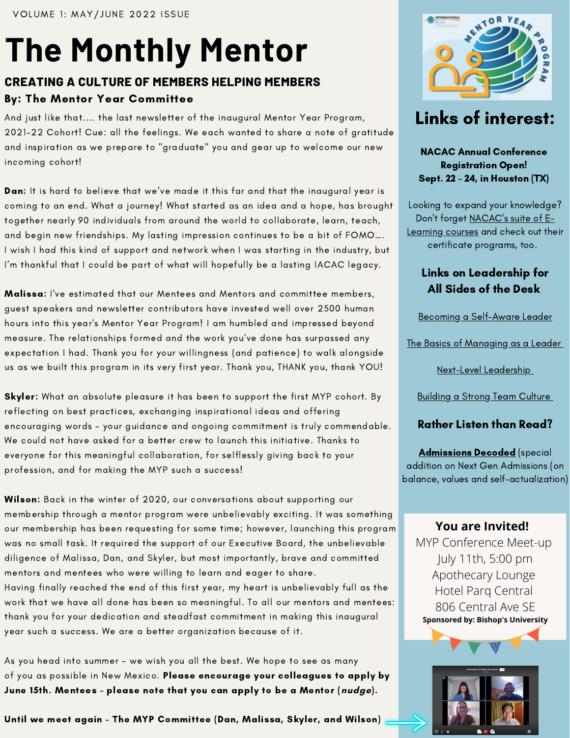# **The Monthly Mentor**

## **CREATING A CULTURE OF MEMBERS HELPING MEMBERS** By: The Mentor Year Committee

And just like that.... the last newsletter of the inaugural Mentor Year Program, 2021-22 Cohort! Cue: all the feelings. We each wanted to share a note of gratitude and inspiration as we prepare to "graduate" you and gear up to welcome our new incoming cohort!

Dan: It is hard to believe that we've made it this far and that the inaugural year is coming to an end. What a journey! What started as an idea and a hope, has brought together nearly 90 individuals from around the world to collaborate, learn, teach, and begin new friendships. My lasting impression continues to be a bit of FOMO…. I wish I had this kind of support and network when I was starting in the industry, but I'm thankful that I could be part of what will hopefully be a lasting IACAC legacy.

Malissa: I've estimated that our Mentees and Mentors and committee members, guest speakers and newsletter contributors have invested well over 2500 human hours into this year's Mentor Year Program! I am humbled and impressed beyond measure. The relationships formed and the work you've done has surpassed any expectation I had. Thank you for your willingness (and patience) to walk alongside us as we built this program in its very first year. Thank you, THANK you, thank YOU!

Skyler: What an absolute pleasure it has been to support the first MYP cohort. By reflecting on best practices, exchanging inspirational ideas and offering encouraging words - your guidance and ongoing commitment is truly commendable. We could not have asked for a better crew to launch this initiative. Thanks to everyone for this meaningful collaboration, for selflessly giving back to your profession, and for making the MYP such a success!

Wilson: Back in the winter of 2020, our conversations about supporting our membership through a mentor program were unbelievably exciting. It was something our membership has been requesting for some time; however, launching this program was no small task. It required the support of our Executive Board, the unbelievable diligence of Malissa, Dan, and Skyler, but most importantly, brave and committed mentors and mentees who were willing to learn and eager to share. Having finally reached the end of this first year, my heart is unbelievably full as the work that we have all done has been so meaningful. To all our mentors and mentees: thank you for your dedication and steadfast commitment in making this inaugural year such a success. We are a better organization because of it.

As you head into summer - we wish you all the best. We hope to see as many of you as possible in New Mexico. Please encourage your colleagues to apply by June 15th. Mentees - please note that you can apply to be a Mentor (**nudge**).

Until we meet again - The MYP Committee (Dan, Malissa, Skyler, and Wilson)



## Links of interest:

NACAC Annual Conference Registration Open! Sept. 22 - 24, in Houston (TX)

Looking to expand your knowledge? Don't forget [NACAC's](https://hub.nacacnet.org/nc__store?category=a0K1a00000DJD3lEAH&_ga=2.142342321.2091540371.1652361136-401167765.1652361136) suite of E-Learning courses and check out their certificate programs, too.

## Links on Leadership for All Sides of the Desk

Becoming a [Self-Aware](https://trainingindustry.com/articles/leadership/the-importance-of-self-awareness-in-leadership/) Leader

The Basics of [Managing](https://hr.mit.edu/learning-topics/leading/articles/basics) as a Leader

Next-Level [Leadership](https://www.forbes.com/sites/hvmacarthur/2020/09/04/next-level-leadership-the-new-skills--mindsets-needed-to-lead-others-into-the-future/?sh=381ec5b22674)

[Building](https://www.forbes.com/sites/forbeschicagocouncil/2019/06/20/how-to-build-a-strong-team-culture-in-seven-steps/?sh=2cd9fd5b61a6) a Strong Team Culture

## Rather Listen than Read?

**[Admissions](https://podcasts.apple.com/us/podcast/college-admissions-decoded/id1469569875) Decoded** (special addition on Next Gen Admissions (on balance, values and self-actualization)

### **You are Invited!**

MYP Conference Meet-up July 11th, 5:00 pm Apothecary Lounge Hotel Parq Central 806 Central Ave SE **Sponsored by: Bishop's University**

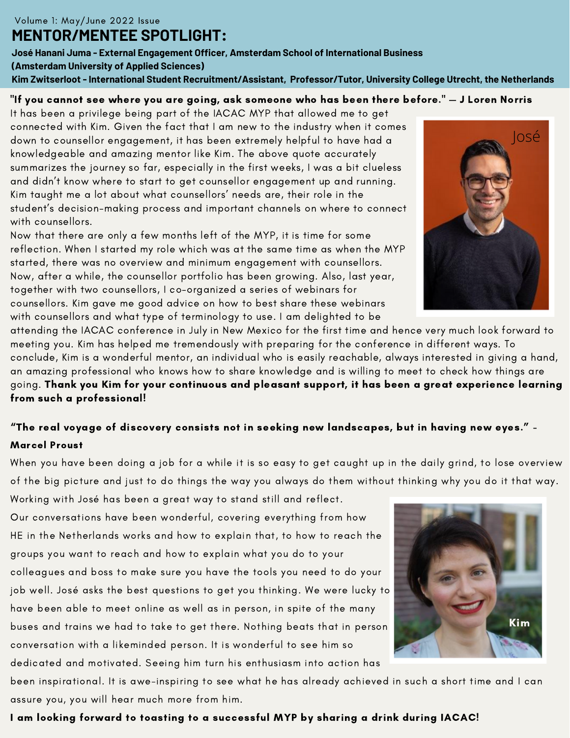**José Hanani Juma - External Engagement Officer, Amsterdam School of International Business (Amsterdam University of Applied Sciences) Kim Zwitserloot - International Student Recruitment/Assistant, Professor/Tutor, University College Utrecht, the Netherlands**

#### "If you cannot see where you are going, ask someone who has been there before." — J Loren Norris

It has been a privilege being part of the IACAC MYP that allowed me to get connected with Kim. Given the fact that I am new to the industry when it comes down to counsellor engagement, it has been extremely helpful to have had a knowledgeable and amazing mentor like Kim. The above quote accurately summarizes the journey so far, especially in the first weeks, I was a bit clueless and didn't know where to start to get counsellor engagement up and running. Kim taught me a lot about what counsellors' needs are, their role in the student's decision-making process and important channels on where to connect with counsellors.

Now that there are only a few months left of the MYP, it is time for some reflection. When I started my role which was at the same time as when the MYP started, there was no overview and minimum engagement with counsellors. Now, after a while, the counsellor portfolio has been growing. Also, last year, together with two counsellors, I co-organized a series of webinars for counsellors. Kim gave me good advice on how to best share these webinars with counsellors and what type of terminology to use. I am delighted to be

attending the IACAC conference in July in New Mexico for the first time and hence very much look forward to meeting you. Kim has helped me tremendously with preparing for the conference in different ways. To conclude, Kim is a wonderful mentor, an individual who is easily reachable, always interested in giving a hand, an amazing professional who knows how to share knowledge and is willing to meet to check how things are going. Thank you Kim for your continuous and pleasant support, it has been a great experience learning from such a professional!

## "The real voyage of discovery consists not in seeking new landscapes, but in having new eyes." - Marcel Proust

When you have been doing a job for a while it is so easy to get caught up in the daily grind, to lose overview of the big picture and just to do things the way you always do them without thinking why you do it that way.

Working with José has been a great way to stand still and reflect. Our conversations have been wonderful, covering everything from how HE in the Netherlands works and how to explain that, to how to reach the groups you want to reach and how to explain what you do to your colleagues and boss to make sure you have the tools you need to do your job well. José asks the best questions to get you thinking. We were lucky to have been able to meet online as well as in person, in spite of the many buses and trains we had to take to get there. Nothing beats that in person conversation with a likeminded person. It is wonderful to see him so dedicated and motivated. Seeing him turn his enthusiasm into action has

been inspirational. It is awe-inspiring to see what he has already achieved in such a short time and I can assure you, you will hear much more from him.

#### I am looking forward to toasting to a successful MYP by sharing a drink during IACAC!